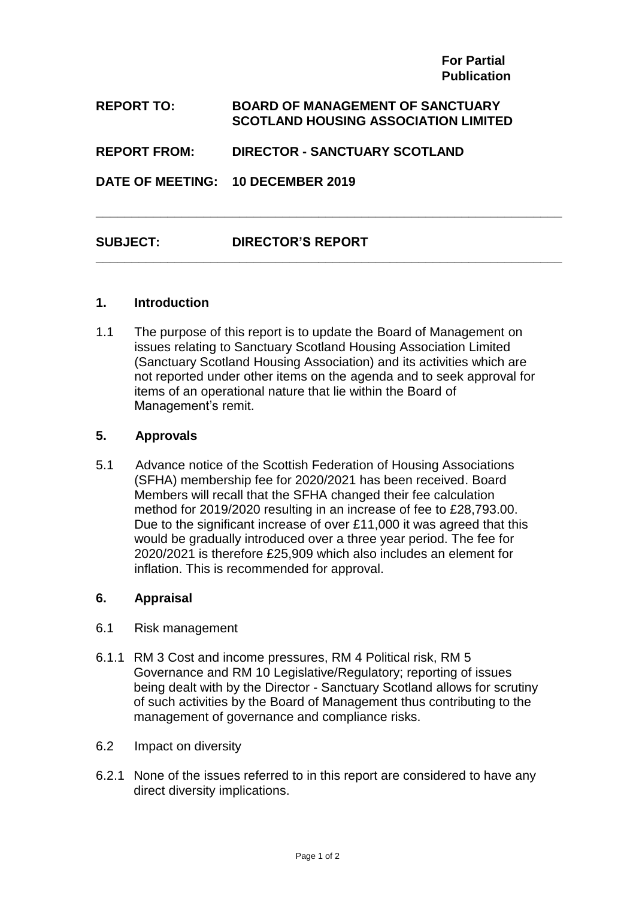**For Partial Publication**

#### **REPORT TO: BOARD OF MANAGEMENT OF SANCTUARY SCOTLAND HOUSING ASSOCIATION LIMITED**

#### **REPORT FROM: DIRECTOR - SANCTUARY SCOTLAND**

**DATE OF MEETING: 10 DECEMBER 2019**

### **SUBJECT: DIRECTOR'S REPORT**

#### **1. Introduction**

1.1 The purpose of this report is to update the Board of Management on issues relating to Sanctuary Scotland Housing Association Limited (Sanctuary Scotland Housing Association) and its activities which are not reported under other items on the agenda and to seek approval for items of an operational nature that lie within the Board of Management's remit.

**\_\_\_\_\_\_\_\_\_\_\_\_\_\_\_\_\_\_\_\_\_\_\_\_\_\_\_\_\_\_\_\_\_\_\_\_\_\_\_\_\_\_\_\_\_\_\_\_\_\_\_\_\_\_\_\_\_\_\_\_\_\_\_\_\_**

**\_\_\_\_\_\_\_\_\_\_\_\_\_\_\_\_\_\_\_\_\_\_\_\_\_\_\_\_\_\_\_\_\_\_\_\_\_\_\_\_\_\_\_\_\_\_\_\_\_\_\_\_\_\_\_\_\_\_\_\_\_\_\_\_\_**

#### **5. Approvals**

5.1 Advance notice of the Scottish Federation of Housing Associations (SFHA) membership fee for 2020/2021 has been received. Board Members will recall that the SFHA changed their fee calculation method for 2019/2020 resulting in an increase of fee to £28,793.00. Due to the significant increase of over £11,000 it was agreed that this would be gradually introduced over a three year period. The fee for 2020/2021 is therefore £25,909 which also includes an element for inflation. This is recommended for approval.

#### **6. Appraisal**

- 6.1 Risk management
- 6.1.1 RM 3 Cost and income pressures, RM 4 Political risk, RM 5 Governance and RM 10 Legislative/Regulatory; reporting of issues being dealt with by the Director - Sanctuary Scotland allows for scrutiny of such activities by the Board of Management thus contributing to the management of governance and compliance risks.
- 6.2 Impact on diversity
- 6.2.1 None of the issues referred to in this report are considered to have any direct diversity implications.